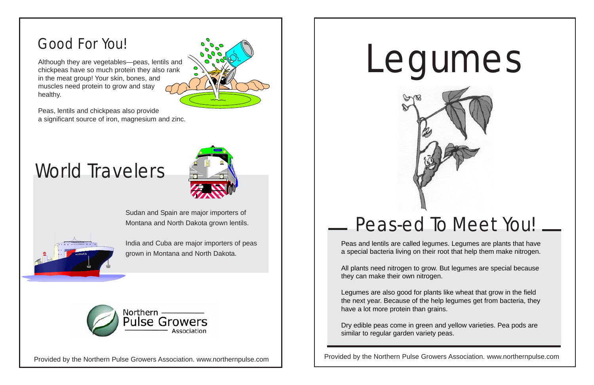## Peas-ed To Meet You!

Provided by the Northern Pulse Growers Association. www.northernpulse.com

Peas and lentils are called legumes. Legumes are plants that have a special bacteria living on their root that help them make nitrogen.

All plants need nitrogen to grow. But legumes are special because they can make their own nitrogen.

Legumes are also good for plants like wheat that grow in the field the next year. Because of the help legumes get from bacteria, they have a lot more protein than grains.

Dry edible peas come in green and yellow varieties. Pea pods are similar to regular garden variety peas.





Sudan and Spain are major importers of Montana and North Dakota grown lentils.

India and Cuba are major importers of peas grown in Montana and North Dakota.



Although they are vegetables—peas, lentils and chickpeas have so much protein they also rank in the meat group! Your skin, bones, and muscles need protein to grow and stay healthy.

Peas, lentils and chickpeas also provide a significant source of iron, magnesium and zinc.

World Travelers

### Good For You!

Provided by the Northern Pulse Growers Association. www.northernpulse.com